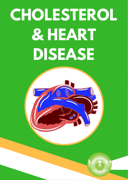# **CHOLESTEROL & HEART DISEASE**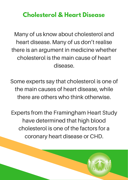# **Cholesterol & Heart Disease**

Many of us know about cholesterol and heart disease. Many of us don't realise there is an argument in medicine whether cholesterol is the main cause of heart disease.

Some experts say that cholesterol is one of the main causes of heart disease, while there are others who think otherwise.

Experts from the Framingham Heart Study have determined that high blood cholesterol is one of the factors for a coronary heart disease or CHD.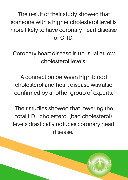The result of their study showed that someone with a higher cholesterol level is more likely to have coronary heart disease or CHD.

Coronary heart disease is unusual at low cholesterol levels.

A connection between high blood cholesterol and heart disease was also confirmed by another group of experts.

Their studies showed that lowering the total LDL cholesterol (bad cholesterol) levels drastically reduces coronary heart disease.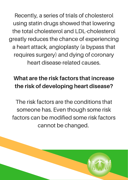Recently, a series of trials of cholesterol using statin drugs showed that lowering the total cholesterol and LDL-cholesterol greatly reduces the chance of experiencing a heart attack, angioplasty (a bypass that requires surgery) and dying of coronary heart disease-related causes.

# What are the risk factors that increase the risk of developing heart disease?

The risk factors are the conditions that someone has. Even though some risk factors can be modified some risk factors cannot be changed.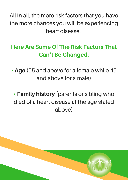All in all, the more risk factors that you have the more chances you will be experiencing heart disease.

# Here Are Some Of The Risk Factors That Can't Be Changed:

• Age (55 and above for a female while 45 and above for a male)

• Family history (parents or sibling who died of a heart disease at the age stated above)

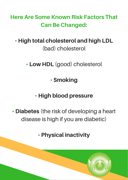Here Are Some Known Risk Factors That Can Be Changed:

## • High total cholesterol and high LDL (bad) cholesterol

• Low HDL (good) cholesterol

# • Smoking

# • High blood pressure

• **Diabetes** (the risk of developing a heart disease is high if you are diabetic)

# • Physical inactivity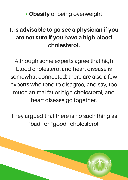• Obesity or being overweight

# It is advisable to go see a physician if you are not sure if you have a high blood cholesterol.

Although some experts agree that high blood cholesterol and heart disease is somewhat connected; there are also a few experts who tend to disagree, and say, too much animal fat or high cholesterol, and heart disease go together.

They argued that there is no such thing as "bad" or "good" cholesterol.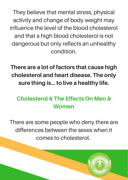They believe that mental stress, physical activity and change of body weight may influence the level of the blood cholesterol and that a high blood cholesterol is not dangerous but only reflects an unhealthy condition.

There are a lot of factors that cause high cholesterol and heart disease. The only sure thing is… to live a healthy life.

## Cholesterol & The Effects On Men & Women

There are some people who deny there are differences between the sexes when it comes to cholesterol.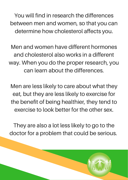You will find in research the differences between men and women, so that you can determine how cholesterol affects you.

Men and women have different hormones and cholesterol also works in a different way. When you do the proper research, you can learn about the differences.

Men are less likely to care about what they eat, but they are less likely to exercise for the benefit of being healthier, they tend to exercise to look better for the other sex.

They are also a lot less likely to go to the doctor for a problem that could be serious.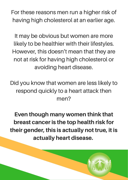For these reasons men run a higher risk of having high cholesterol at an earlier age.

It may be obvious but women are more likely to be healthier with their lifestyles. However, this doesn't mean that they are not at risk for having high cholesterol or avoiding heart disease.

Did you know that women are less likely to respond quickly to a heart attack then men?

Even though many women think that breast cancer is the top health risk for their gender, this is actually not true, it is actually heart disease.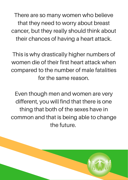There are so many women who believe that they need to worry about breast cancer, but they really should think about their chances of having a heart attack.

This is why drastically higher numbers of women die of their first heart attack when compared to the number of male fatalities for the same reason.

Even though men and women are very different, you will find that there is one thing that both of the sexes have in common and that is being able to change the future.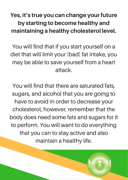# Yes, it's true you can change your future by starting to become healthy and maintaining a healthy cholesterol level.

You will find that if you start yourself on a diet that will limit your (bad) fat intake, you may be able to save yourself from a heart attack.

You will find that there are saturated fats, sugars, and alcohol that you are going to have to avoid in order to decrease your cholesterol, however, remember that the body does need some fats and sugars for it to perform. You will want to do everything that you can to stay active and also maintain a healthy life.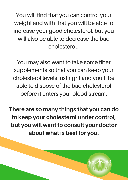You will find that you can control your weight and with that you will be able to increase your good cholesterol, but you will also be able to decrease the bad cholesterol.

You may also want to take some fiber supplements so that you can keep your cholesterol levels just right and you'll be able to dispose of the bad cholesterol before it enters your blood stream.

There are so many things that you can do to keep your cholesterol under control, but you will want to consult your doctor about what is best for you.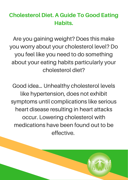#### Cholesterol Diet. A Guide To Good Eating Habits.

Are you gaining weight? Does this make you worry about your cholesterol level? Do you feel like you need to do something about your eating habits particularly your cholesterol diet?

Good idea… Unhealthy cholesterol levels like hypertension, does not exhibit symptoms until complications like serious heart disease resulting in heart attacks occur. Lowering cholesterol with medications have been found out to be effective.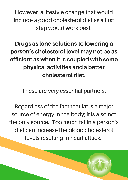However, a lifestyle change that would include a good cholesterol diet as a first step would work best.

Drugs as lone solutions to lowering a person's cholesterol level may not be as efficient as when it is coupled with some physical activities and a better cholesterol diet.

These are very essential partners.

Regardless of the fact that fat is a major source of energy in the body; it is also not the only source. Too much fat in a person's diet can increase the blood cholesterol levels resulting in heart attack.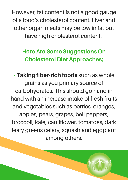However, fat content is not a good gauge of a food's cholesterol content. Liver and other organ meats may be low in fat but have high cholesterol content.

# Here Are Some Suggestions On Cholesterol Diet Approaches;

• Taking fiber-rich foods such as whole grains as you primary source of carbohydrates. This should go hand in hand with an increase intake of fresh fruits and vegetables such as berries, oranges, apples, pears, grapes, bell peppers, broccoli, kale, cauliflower, tomatoes, dark leafy greens celery, squash and eggplant among others.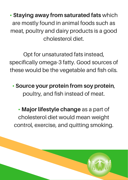• Staying away from saturated fats which are mostly found in animal foods such as meat, poultry and dairy products is a good cholesterol diet.

Opt for unsaturated fats instead, specifically omega-3 fatty. Good sources of these would be the vegetable and fish oils.

• Source your protein from soy protein, poultry, and fish instead of meat.

• Major lifestyle change as a part of cholesterol diet would mean weight control, exercise, and quitting smoking.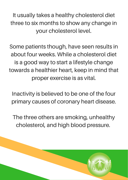It usually takes a healthy cholesterol diet three to six months to show any change in your cholesterol level.

Some patients though, have seen results in about four weeks. While a cholesterol diet is a good way to start a lifestyle change towards a healthier heart, keep in mind that proper exercise is as vital.

Inactivity is believed to be one of the four primary causes of coronary heart disease.

The three others are smoking, unhealthy cholesterol, and high blood pressure.